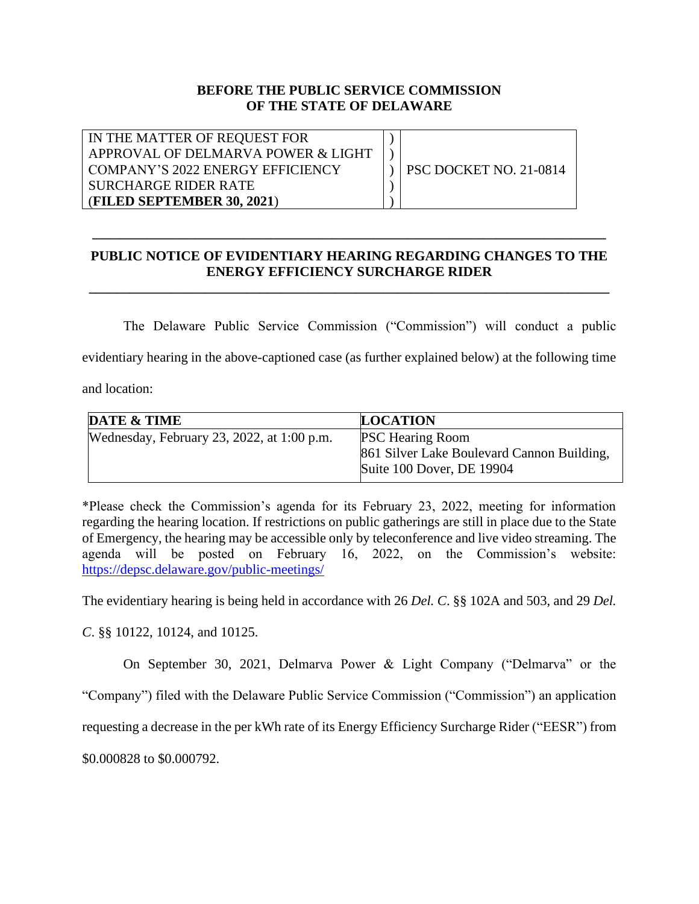## **BEFORE THE PUBLIC SERVICE COMMISSION OF THE STATE OF DELAWARE**

| IN THE MATTER OF REQUEST FOR       |                        |
|------------------------------------|------------------------|
| APPROVAL OF DELMARVA POWER & LIGHT |                        |
| COMPANY'S 2022 ENERGY EFFICIENCY   | PSC DOCKET NO. 21-0814 |
| SURCHARGE RIDER RATE               |                        |
| (FILED SEPTEMBER 30, 2021)         |                        |

## **PUBLIC NOTICE OF EVIDENTIARY HEARING REGARDING CHANGES TO THE ENERGY EFFICIENCY SURCHARGE RIDER**

**\_\_\_\_\_\_\_\_\_\_\_\_\_\_\_\_\_\_\_\_\_\_\_\_\_\_\_\_\_\_\_\_\_\_\_\_\_\_\_\_\_\_\_\_\_\_\_\_\_\_\_\_\_\_\_\_\_\_\_\_\_\_\_\_\_\_\_\_\_\_\_\_\_\_\_\_**

**\_\_\_\_\_\_\_\_\_\_\_\_\_\_\_\_\_\_\_\_\_\_\_\_\_\_\_\_\_\_\_\_\_\_\_\_\_\_\_\_\_\_\_\_\_\_\_\_\_\_\_\_\_\_\_\_\_\_\_\_\_\_\_\_\_\_\_\_\_\_\_\_\_\_\_** 

The Delaware Public Service Commission ("Commission") will conduct a public evidentiary hearing in the above-captioned case (as further explained below) at the following time and location:

| <b>DATE &amp; TIME</b>                     | <b>LOCATION</b>                            |
|--------------------------------------------|--------------------------------------------|
| Wednesday, February 23, 2022, at 1:00 p.m. | <b>PSC Hearing Room</b>                    |
|                                            | 861 Silver Lake Boulevard Cannon Building, |
|                                            | Suite 100 Dover, DE 19904                  |

\*Please check the Commission's agenda for its February 23, 2022, meeting for information regarding the hearing location. If restrictions on public gatherings are still in place due to the State of Emergency, the hearing may be accessible only by teleconference and live video streaming. The agenda will be posted on February 16, 2022, on the Commission's website: <https://depsc.delaware.gov/public-meetings/>

The evidentiary hearing is being held in accordance with 26 *Del. C*. §§ 102A and 503, and 29 *Del.* 

*C*. §§ 10122, 10124, and 10125.

On September 30, 2021, Delmarva Power & Light Company ("Delmarva" or the

"Company") filed with the Delaware Public Service Commission ("Commission") an application

requesting a decrease in the per kWh rate of its Energy Efficiency Surcharge Rider ("EESR") from

\$0.000828 to \$0.000792.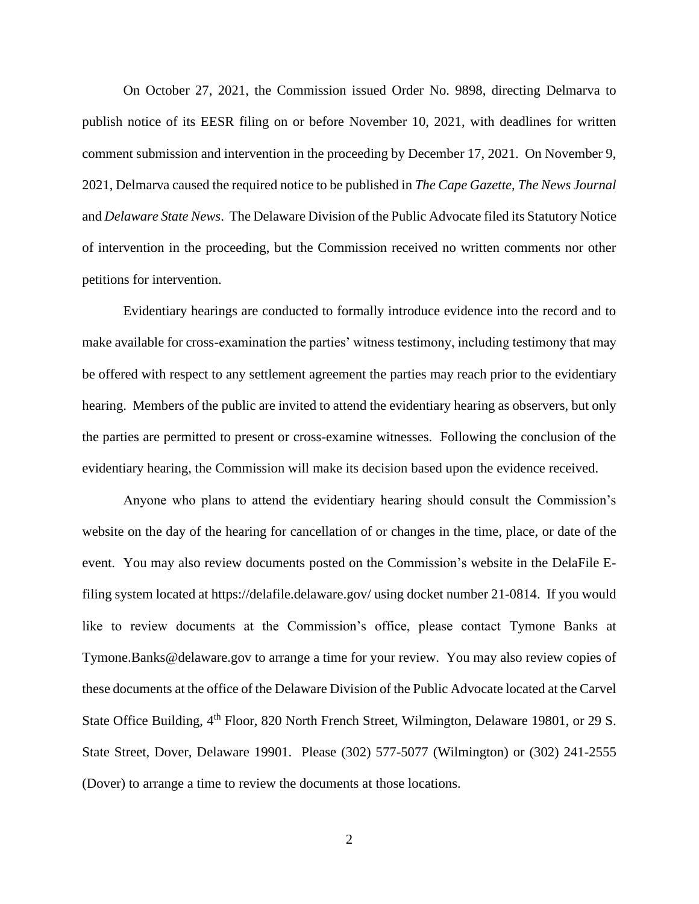On October 27, 2021, the Commission issued Order No. 9898, directing Delmarva to publish notice of its EESR filing on or before November 10, 2021, with deadlines for written comment submission and intervention in the proceeding by December 17, 2021. On November 9, 2021, Delmarva caused the required notice to be published in *The Cape Gazette, The News Journal* and *Delaware State News*. The Delaware Division of the Public Advocate filed its Statutory Notice of intervention in the proceeding, but the Commission received no written comments nor other petitions for intervention.

Evidentiary hearings are conducted to formally introduce evidence into the record and to make available for cross-examination the parties' witness testimony, including testimony that may be offered with respect to any settlement agreement the parties may reach prior to the evidentiary hearing. Members of the public are invited to attend the evidentiary hearing as observers, but only the parties are permitted to present or cross-examine witnesses. Following the conclusion of the evidentiary hearing, the Commission will make its decision based upon the evidence received.

Anyone who plans to attend the evidentiary hearing should consult the Commission's website on the day of the hearing for cancellation of or changes in the time, place, or date of the event. You may also review documents posted on the Commission's website in the DelaFile Efiling system located at <https://delafile.delaware.gov/> using docket number 21-0814. If you would like to review documents at the Commission's office, please contact Tymone Banks at Tymone.Banks@delaware.gov to arrange a time for your review. You may also review copies of these documents at the office of the Delaware Division of the Public Advocate located at the Carvel State Office Building, 4<sup>th</sup> Floor, 820 North French Street, Wilmington, Delaware 19801, or 29 S. State Street, Dover, Delaware 19901. Please (302) 577-5077 (Wilmington) or (302) 241-2555 (Dover) to arrange a time to review the documents at those locations.